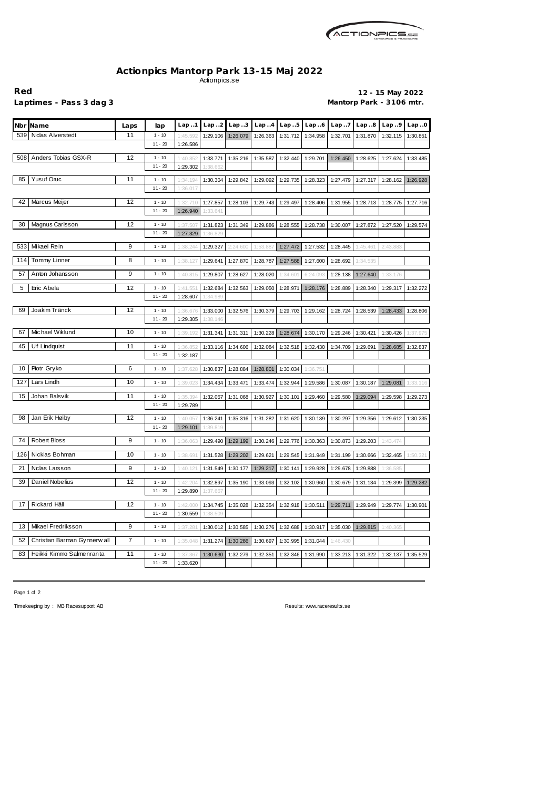

## **Actionpics Mantorp Park 13-15 Maj 2022** Actionpics.se

**Red 12 - 15 May 2022** Laptimes - Pass 3 dag 3 **Mantorp Park - 3106 mtr.** 

| <b>Name</b><br>Nbrl                | Laps | lap       | Lap1     | Lap.2    | Lap.3    | Lap.4    | Lap.5                      | Lap.6                                                                                            | Lap. .7  | Lap.8    | Lap.9    | Lap.0    |
|------------------------------------|------|-----------|----------|----------|----------|----------|----------------------------|--------------------------------------------------------------------------------------------------|----------|----------|----------|----------|
| Niclas Alverstedt<br>539           | 11   | $1 - 10$  | 1:45.59  | 1:29.106 | 1:26.079 | 1:26.363 | 1:31.712                   | 1:34.958                                                                                         | 1:32.701 | 1:31.870 | 1:32.115 | 1:30.851 |
|                                    |      | $11 - 20$ | 1:26.586 |          |          |          |                            |                                                                                                  |          |          |          |          |
| Anders Tobias GSX-R<br>508         | 12   | $1 - 10$  | 1:40.85  | 1:33.771 | 1:35.216 | 1:35.587 | 1:32.440                   | 1:29.701                                                                                         | 1:26.450 | 1:28.625 | 1:27.624 | 1:33.485 |
|                                    |      | $11 - 20$ | 1:29.302 | 1:38.662 |          |          |                            |                                                                                                  |          |          |          |          |
| <b>Yusuf Oruc</b><br>85            | 11   | $1 - 10$  | 1:34.194 | 1:30.304 | 1:29.842 | 1:29.092 | 1:29.735                   | 1:28.323                                                                                         | 1:27.479 | 1:27.317 | 1:28.162 | 1:26.928 |
|                                    |      | $11 - 20$ | 1:36.017 |          |          |          |                            |                                                                                                  |          |          |          |          |
| Marcus Meijer<br>42                | 12   | $1 - 10$  | 1:32.710 | 1:27.857 | 1:28.103 | 1:29.743 | 1:29.497                   | 1:28.406                                                                                         | 1:31.955 | 1:28.713 | 1:28.775 | 1:27.716 |
|                                    |      | $11 - 20$ | 1:26.940 | 1:33.641 |          |          |                            |                                                                                                  |          |          |          |          |
| Magnus Carlsson<br>30              | 12   | $1 - 10$  | 1:37.50  | 1:31.823 | 1:31.349 | 1:29.886 | 1:28.555                   |                                                                                                  | 1:30.007 |          | 1:27.520 |          |
|                                    |      | $11 - 20$ | 1:27.329 | 1:36.829 |          |          |                            | 1:28.738                                                                                         |          | 1:27.872 |          | 1:29.574 |
| Mikael Rein<br>533                 | 9    |           |          |          |          |          |                            |                                                                                                  |          |          |          |          |
|                                    |      | $1 - 10$  | 1:38.244 | 1:29.327 | 2:24.600 | 1:53.887 | 1:27.472                   | 1:27.532                                                                                         | 1:28.445 | 1:45.461 | 2:43.883 |          |
| Tommy Linner<br>114                | 8    | $1 - 10$  | 1:38.12  | 1:29.641 | 1:27.870 | 1:28.787 | 1:27.588                   | 1:27.600                                                                                         | 1:28.692 | 1:34.535 |          |          |
| 57<br>Anton Johansson              | 9    | $1 - 10$  | 1:40.815 | 1:29.807 | 1:28.627 | 1:28.020 | 1:34.60'                   | 6:24.093                                                                                         | 1:28.138 | 1:27.640 | 1:33.176 |          |
| 5<br>Eric Abela                    | 12   | $1 - 10$  | 1:41.55  | 1:32.684 | 1:32.563 | 1:29.050 | 1:28.971                   | 1:28.176                                                                                         | 1:28.889 | 1:28.340 | 1:29.317 | 1:32.272 |
|                                    |      | $11 - 20$ | 1:28.607 | 1:34.989 |          |          |                            |                                                                                                  |          |          |          |          |
| Joakim Tränck<br>69                | 12   | $1 - 10$  | 1:36.676 | 1:33.000 | 1:32.576 | 1:30.379 | 1:29.703                   | 1:29.162                                                                                         | 1:28.724 | 1:28.539 | 1:28.433 | 1:28.806 |
|                                    |      | $11 - 20$ | 1:29.305 | 1:38.146 |          |          |                            |                                                                                                  |          |          |          |          |
| Michael Wiklund<br>67              | 10   | $1 - 10$  |          |          |          | 1:30.228 | 1:28.674                   | 1:30.170                                                                                         |          |          |          |          |
|                                    |      |           | 1:39.192 | 1:31.341 | 1:31.311 |          |                            |                                                                                                  | 1:29.246 | 1:30.421 | 1:30.426 | 1:37.975 |
| 45<br><b>Ulf Lindquist</b>         | 11   | $1 - 10$  | 1:36.85  | 1:33.116 | 1:34.606 | 1:32.084 | 1:32.518                   | 1:32.430                                                                                         | 1:34.709 | 1:29.691 | 1:28.685 | 1:32.837 |
|                                    |      | $11 - 20$ | 1:32.187 |          |          |          |                            |                                                                                                  |          |          |          |          |
| Piotr Gryko<br>10                  | 6    | $1 - 10$  | 1:37.628 | 1:30.837 | 1:28.884 | 1:28.801 | 1:30.034                   | 1:36.751                                                                                         |          |          |          |          |
| Lars Lindh<br>127                  | 10   | $1 - 10$  | 1:39.02  | 1:34.434 | 1:33.471 | 1:33.474 | 1:32.944                   | 1:29.586                                                                                         | 1:30.087 | 1:30.187 | 1:29.081 | 1:33.116 |
| 15<br>Johan Balsvik                | 11   | $1 - 10$  | 1:35.39  | 1:32.057 | 1:31.068 | 1:30.927 | 1:30.101                   | 1:29.460                                                                                         | 1:29.580 | 1:29.094 | 1:29.598 | 1:29.273 |
|                                    |      | $11 - 20$ | 1:29.789 |          |          |          |                            |                                                                                                  |          |          |          |          |
| Jan Erik Høiby<br>98               | 12   | $1 - 10$  | 1:40.05  | 1:36.241 | 1:35.316 | 1:31.282 | 1:31.620                   | 1:30.139                                                                                         | 1:30.297 | 1:29.356 | 1:29.612 | 1:30.235 |
|                                    |      | $11 - 20$ | 1:29.101 | 1:39.819 |          |          |                            |                                                                                                  |          |          |          |          |
| <b>Robert Bloss</b><br>74          | 9    | $1 - 10$  | 1:36.06  | 1:29.490 | 1:29.199 |          | 1:30.246 1:29.776 1:30.363 |                                                                                                  | 1:30.873 | 1:29.203 | 1:43.474 |          |
|                                    |      |           |          |          |          |          |                            |                                                                                                  |          |          |          |          |
| 126 Nicklas Bohman                 | 10   | $1 - 10$  | 1:38.691 |          |          |          |                            | 1:31.528   1:29.202   1:29.621   1:29.545   1:31.949   1:31.199   1:30.666   1:32.465   1:50.321 |          |          |          |          |
| 21<br>Niclas Larsson               | 9    | $1 - 10$  | 1:40.12  | 1:31.549 | 1:30.177 | 1:29.217 | 1:30.141                   | 1:29.928                                                                                         | 1:29.678 | 1:29.888 | 1:36.585 |          |
| 39<br>Daniel Nobelius              | 12   | $1 - 10$  | 1:42.204 | 1:32.897 | 1:35.190 | 1:33.093 | 1:32.102                   | 1:30.960                                                                                         | 1:30.679 | 1:31.134 | 1:29.399 | 1:29.282 |
|                                    |      | $11 - 20$ | 1:29.890 | 1:37.667 |          |          |                            |                                                                                                  |          |          |          |          |
| Rickard Häll<br>17                 | 12   | $1 - 10$  | 1:42.000 | 1:34.745 | 1:35.028 | 1:32.354 | 1:32.918                   | 1:30.511                                                                                         | 1:29.711 | 1:29.949 | 1:29.774 | 1:30.901 |
|                                    |      | $11 - 20$ | 1:30.559 | 1:38.509 |          |          |                            |                                                                                                  |          |          |          |          |
| Mikael Fredriksson<br>13           | 9    | $1 - 10$  | 1:37.28  | 1:30.012 | 1:30.585 | 1:30.276 | 1:32.688                   | 1:30.917                                                                                         | 1:35.030 | 1:29.815 | 1:40.365 |          |
|                                    |      |           |          |          |          |          |                            |                                                                                                  |          |          |          |          |
| 52<br>Christian Barman Gynnerw all | 7    | $1 - 10$  | 1:35.048 | 1:31.274 | 1:30.286 | 1:30.697 | 1:30.995                   | 1:31.044                                                                                         | 1:46.430 |          |          |          |
| Heikki Kimmo Salmenranta<br>83     | $11$ | $1 - 10$  | 1:37.36  | 1:30.630 | 1:32.279 | 1:32.351 | 1:32.346                   | 1:31.990                                                                                         | 1:33.213 | 1:31.322 | 1:32.137 | 1:35.529 |
|                                    |      | $11 - 20$ | 1:33.620 |          |          |          |                            |                                                                                                  |          |          |          |          |

Page 1 of 2

Timekeeping by : MB Racesupport AB Results: <www.raceresults.se>